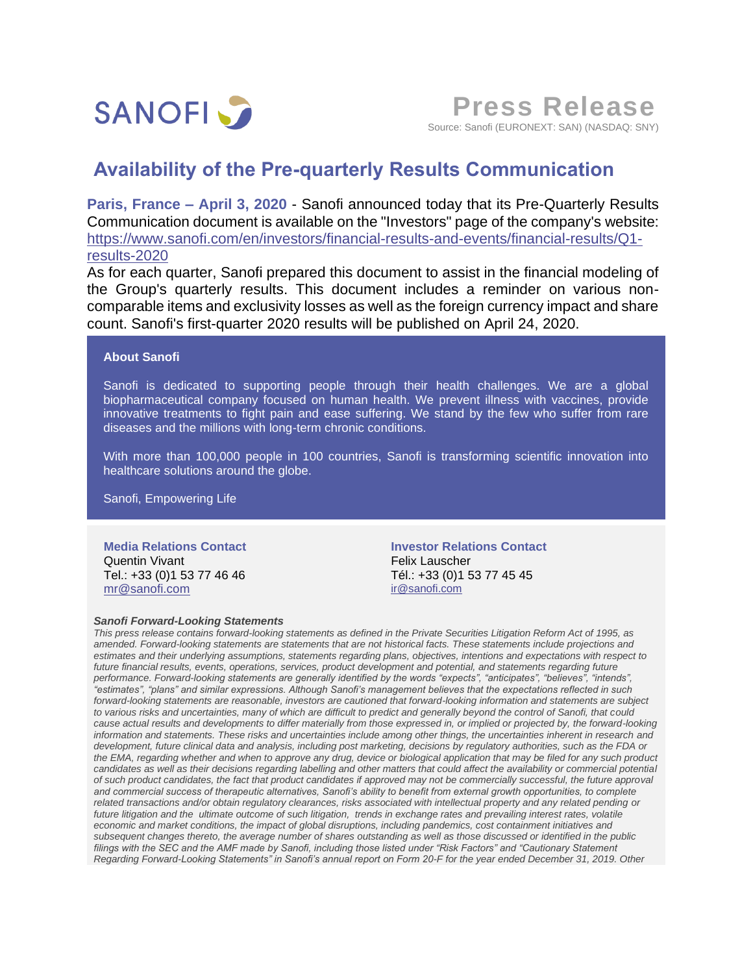

**Press Release** Source: Sanofi (EURONEXT: SAN) (NASDAQ: SNY)

## **Availability of the Pre-quarterly Results Communication**

**Paris, France – April 3, 2020** - Sanofi announced today that its Pre-Quarterly Results Communication document is available on the "Investors" page of the company's website: [https://www.sanofi.com/en/investors/financial-results-and-events/financial-results/Q1](https://www.sanofi.com/en/investors/financial-results-and-events/financial-results/Q1-results-2020) [results-2020](https://www.sanofi.com/en/investors/financial-results-and-events/financial-results/Q1-results-2020)

As for each quarter, Sanofi prepared this document to assist in the financial modeling of the Group's quarterly results. This document includes a reminder on various noncomparable items and exclusivity losses as well as the foreign currency impact and share count. Sanofi's first-quarter 2020 results will be published on April 24, 2020.

## **About Sanofi**

Sanofi is dedicated to supporting people through their health challenges. We are a global biopharmaceutical company focused on human health. We prevent illness with vaccines, provide innovative treatments to fight pain and ease suffering. We stand by the few who suffer from rare diseases and the millions with long-term chronic conditions.

With more than 100,000 people in 100 countries, Sanofi is transforming scientific innovation into healthcare solutions around the globe.

Sanofi, Empowering Life

**Media Relations Contact** Quentin Vivant Tel.: +33 (0)1 53 77 46 46 [mr@sanofi.com](mailto:mr@sanofi.com)

## *Sanofi Forward-Looking Statements*

**Investor Relations Contact** Felix Lauscher Tél.: +33 (0)1 53 77 45 45 [ir@sanofi.com](mailto:ir@sanofi.com)

*This press release contains forward-looking statements as defined in the Private Securities Litigation Reform Act of 1995, as amended. Forward-looking statements are statements that are not historical facts. These statements include projections and estimates and their underlying assumptions, statements regarding plans, objectives, intentions and expectations with respect to future financial results, events, operations, services, product development and potential, and statements regarding future performance. Forward-looking statements are generally identified by the words "expects", "anticipates", "believes", "intends", "estimates", "plans" and similar expressions. Although Sanofi's management believes that the expectations reflected in such forward-looking statements are reasonable, investors are cautioned that forward-looking information and statements are subject to various risks and uncertainties, many of which are difficult to predict and generally beyond the control of Sanofi, that could cause actual results and developments to differ materially from those expressed in, or implied or projected by, the forward-looking information and statements. These risks and uncertainties include among other things, the uncertainties inherent in research and development, future clinical data and analysis, including post marketing, decisions by regulatory authorities, such as the FDA or the EMA, regarding whether and when to approve any drug, device or biological application that may be filed for any such product*  candidates as well as their decisions regarding labelling and other matters that could affect the availability or commercial potential *of such product candidates, the fact that product candidates if approved may not be commercially successful, the future approval and commercial success of therapeutic alternatives, Sanofi's ability to benefit from external growth opportunities, to complete related transactions and/or obtain regulatory clearances, risks associated with intellectual property and any related pending or future litigation and the ultimate outcome of such litigation, trends in exchange rates and prevailing interest rates, volatile economic and market conditions, the impact of global disruptions, including pandemics, cost containment initiatives and subsequent changes thereto, the average number of shares outstanding as well as those discussed or identified in the public filings with the SEC and the AMF made by Sanofi, including those listed under "Risk Factors" and "Cautionary Statement Regarding Forward-Looking Statements" in Sanofi's annual report on Form 20-F for the year ended December 31, 2019. Other*